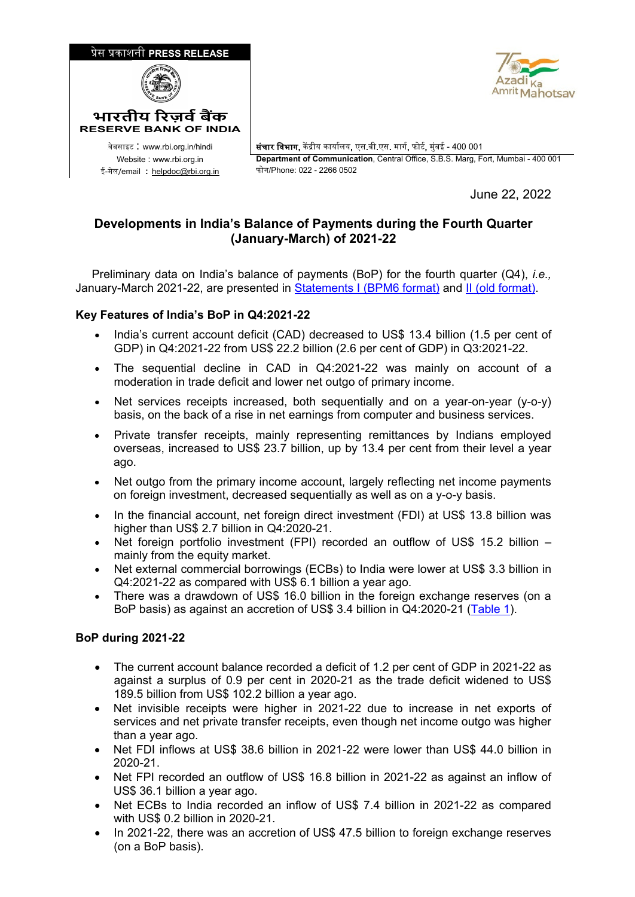



<sup>0</sup>वेबसाइट : www.rbi.org.in/hindi संचार िवभाग, क� �ीय कायार्लय, एस.बी.एस. मागर्, फोटर्, मुंबई - 400 001 Website : www.rbi.org.in **Department of Communication**, Central Office, S.B.S. Marg, Fort, Mumbai - 400 001

June 22, 2022

## **Developments in India's Balance of Payments during the Fourth Quarter (January-March) of 2021-22**

 Preliminary data on India's balance of payments (BoP) for the fourth quarter (Q4), *i.e.,* January-March 2021-22, are presented in [Statements I \(BPM6 format\)](https://rbidocs.rbi.org.in/rdocs/content/docs/BOPQ42206202122_ST1.xls) and [II \(old format\).](https://rbidocs.rbi.org.in/rdocs/content/docs/BOPQ42206202122_ST2.xls)

## **Key Features of India's BoP in Q4:2021-22**

- India's current account deficit (CAD) decreased to US\$ 13.4 billion (1.5 per cent of GDP) in Q4:2021-22 from US\$ 22.2 billion (2.6 per cent of GDP) in Q3:2021-22.
- The sequential decline in CAD in Q4:2021-22 was mainly on account of a moderation in trade deficit and lower net outgo of primary income.
- Net services receipts increased, both sequentially and on a year-on-year (y-o-y) basis, on the back of a rise in net earnings from computer and business services.
- Private transfer receipts, mainly representing remittances by Indians employed overseas, increased to US\$ 23.7 billion, up by 13.4 per cent from their level a year ago.
- Net outgo from the primary income account, largely reflecting net income payments on foreign investment, decreased sequentially as well as on a y-o-y basis.
- In the financial account, net foreign direct investment (FDI) at US\$ 13.8 billion was higher than US\$ 2.7 billion in Q4:2020-21.
- Net foreign portfolio investment (FPI) recorded an outflow of US\$ 15.2 billion mainly from the equity market.
- Net external commercial borrowings (ECBs) to India were lower at US\$ 3.3 billion in Q4:2021-22 as compared with US\$ 6.1 billion a year ago.
- There was a drawdown of US\$ 16.0 billion in the foreign exchange reserves (on a BoP basis) as against an accretion of US\$ 3.4 billion in Q4:2020-21 [\(Table 1\)](#page-1-0).

## **BoP during 2021-22**

- The current account balance recorded a deficit of 1.2 per cent of GDP in 2021-22 as against a surplus of 0.9 per cent in 2020-21 as the trade deficit widened to US\$ 189.5 billion from US\$ 102.2 billion a year ago.
- Net invisible receipts were higher in 2021-22 due to increase in net exports of services and net private transfer receipts, even though net income outgo was higher than a year ago.
- Net FDI inflows at US\$ 38.6 billion in 2021-22 were lower than US\$ 44.0 billion in 2020-21.
- Net FPI recorded an outflow of US\$ 16.8 billion in 2021-22 as against an inflow of US\$ 36.1 billion a year ago.
- Net ECBs to India recorded an inflow of US\$ 7.4 billion in 2021-22 as compared with US\$ 0.2 billion in 2020-21.
- In 2021-22, there was an accretion of US\$ 47.5 billion to foreign exchange reserves (on a BoP basis).